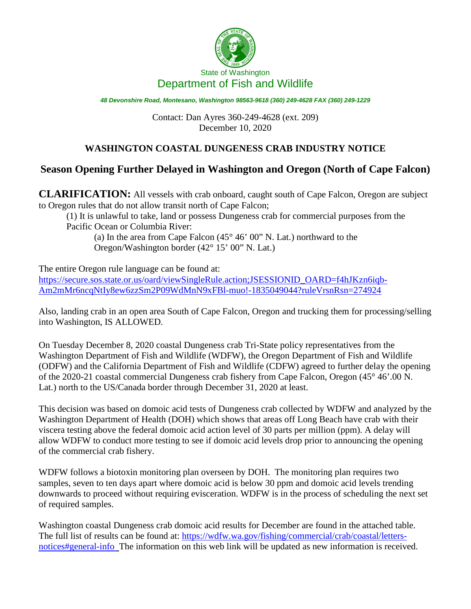

*48 Devonshire Road, Montesano, Washington 98563-9618 (360) 249-4628 FAX (360) 249-1229*

Contact: Dan Ayres 360-249-4628 (ext. 209) December 10, 2020

## **WASHINGTON COASTAL DUNGENESS CRAB INDUSTRY NOTICE**

## **Season Opening Further Delayed in Washington and Oregon (North of Cape Falcon)**

**CLARIFICATION:** All vessels with crab onboard, caught south of Cape Falcon, Oregon are subject to Oregon rules that do not allow transit north of Cape Falcon;

(1) It is unlawful to take, land or possess Dungeness crab for commercial purposes from the Pacific Ocean or Columbia River:

(a) In the area from Cape Falcon (45° 46' 00" N. Lat.) northward to the Oregon/Washington border (42° 15' 00" N. Lat.)

The entire Oregon rule language can be found at: [https://secure.sos.state.or.us/oard/viewSingleRule.action;JSESSIONID\\_OARD=f4hJKzn6iqb-](https://secure.sos.state.or.us/oard/viewSingleRule.action;JSESSIONID_OARD=f4hJKzn6iqb-Am2mMr6ncqNtIy8ew6zzSm2P09WdMnN9xFBl-muo!-1835049044?ruleVrsnRsn=274924)[Am2mMr6ncqNtIy8ew6zzSm2P09WdMnN9xFBl-muo!-1835049044?ruleVrsnRsn=274924](https://secure.sos.state.or.us/oard/viewSingleRule.action;JSESSIONID_OARD=f4hJKzn6iqb-Am2mMr6ncqNtIy8ew6zzSm2P09WdMnN9xFBl-muo!-1835049044?ruleVrsnRsn=274924)

Also, landing crab in an open area South of Cape Falcon, Oregon and trucking them for processing/selling into Washington, IS ALLOWED.

On Tuesday December 8, 2020 coastal Dungeness crab Tri-State policy representatives from the Washington Department of Fish and Wildlife (WDFW), the Oregon Department of Fish and Wildlife (ODFW) and the California Department of Fish and Wildlife (CDFW) agreed to further delay the opening of the 2020-21 coastal commercial Dungeness crab fishery from Cape Falcon, Oregon (45° 46'.00 N. Lat.) north to the US/Canada border through December 31, 2020 at least.

This decision was based on domoic acid tests of Dungeness crab collected by WDFW and analyzed by the Washington Department of Health (DOH) which shows that areas off Long Beach have crab with their viscera testing above the federal domoic acid action level of 30 parts per million (ppm). A delay will allow WDFW to conduct more testing to see if domoic acid levels drop prior to announcing the opening of the commercial crab fishery.

WDFW follows a biotoxin monitoring plan overseen by DOH. The monitoring plan requires two samples, seven to ten days apart where domoic acid is below 30 ppm and domoic acid levels trending downwards to proceed without requiring evisceration. WDFW is in the process of scheduling the next set of required samples.

Washington coastal Dungeness crab domoic acid results for December are found in the attached table. The full list of results can be found at: [https://wdfw.wa.gov/fishing/commercial/crab/coastal/letters](https://wdfw.wa.gov/fishing/commercial/crab/coastal/letters-notices#general-info)[notices#general-info](https://wdfw.wa.gov/fishing/commercial/crab/coastal/letters-notices#general-info) The information on this web link will be updated as new information is received.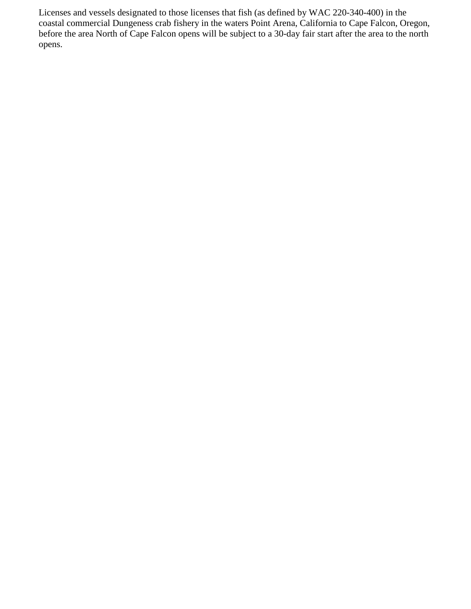Licenses and vessels designated to those licenses that fish (as defined by WAC 220-340-400) in the coastal commercial Dungeness crab fishery in the waters Point Arena, California to Cape Falcon, Oregon, before the area North of Cape Falcon opens will be subject to a 30-day fair start after the area to the north opens.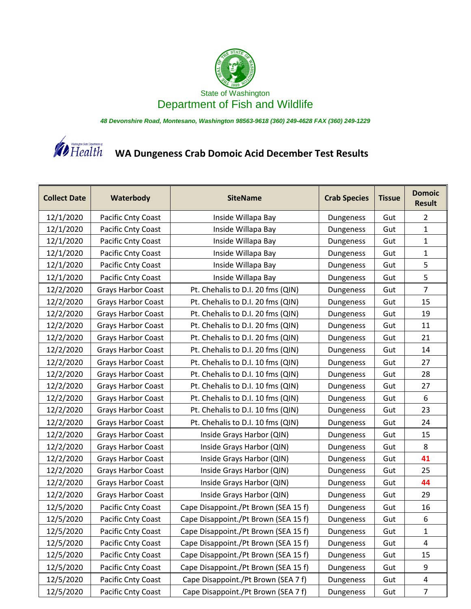

*48 Devonshire Road, Montesano, Washington 98563-9618 (360) 249-4628 FAX (360) 249-1229*



**W** Health **WA Dungeness Crab Domoic Acid December Test Results** 

| <b>Collect Date</b> | Waterbody                 | <b>SiteName</b>                      | <b>Crab Species</b> | <b>Tissue</b> | <b>Domoic</b><br><b>Result</b> |
|---------------------|---------------------------|--------------------------------------|---------------------|---------------|--------------------------------|
| 12/1/2020           | Pacific Cnty Coast        | Inside Willapa Bay                   | Dungeness           | Gut           | 2                              |
| 12/1/2020           | Pacific Cnty Coast        | Inside Willapa Bay                   | Dungeness           | Gut           | $\mathbf{1}$                   |
| 12/1/2020           | Pacific Cnty Coast        | Inside Willapa Bay                   | Dungeness           | Gut           | $\mathbf{1}$                   |
| 12/1/2020           | Pacific Cnty Coast        | Inside Willapa Bay                   | Dungeness           | Gut           | $\mathbf{1}$                   |
| 12/1/2020           | Pacific Cnty Coast        | Inside Willapa Bay                   | Dungeness           | Gut           | 5                              |
| 12/1/2020           | Pacific Cnty Coast        | Inside Willapa Bay                   | Dungeness           | Gut           | 5                              |
| 12/2/2020           | <b>Grays Harbor Coast</b> | Pt. Chehalis to D.I. 20 fms (QIN)    | Dungeness           | Gut           | $\overline{7}$                 |
| 12/2/2020           | <b>Grays Harbor Coast</b> | Pt. Chehalis to D.I. 20 fms (QIN)    | Dungeness           | Gut           | 15                             |
| 12/2/2020           | Grays Harbor Coast        | Pt. Chehalis to D.I. 20 fms (QIN)    | Dungeness           | Gut           | 19                             |
| 12/2/2020           | Grays Harbor Coast        | Pt. Chehalis to D.I. 20 fms (QIN)    | Dungeness           | Gut           | 11                             |
| 12/2/2020           | <b>Grays Harbor Coast</b> | Pt. Chehalis to D.I. 20 fms (QIN)    | Dungeness           | Gut           | 21                             |
| 12/2/2020           | <b>Grays Harbor Coast</b> | Pt. Chehalis to D.I. 20 fms (QIN)    | Dungeness           | Gut           | 14                             |
| 12/2/2020           | Grays Harbor Coast        | Pt. Chehalis to D.I. 10 fms (QIN)    | Dungeness           | Gut           | 27                             |
| 12/2/2020           | Grays Harbor Coast        | Pt. Chehalis to D.I. 10 fms (QIN)    | Dungeness           | Gut           | 28                             |
| 12/2/2020           | <b>Grays Harbor Coast</b> | Pt. Chehalis to D.I. 10 fms (QIN)    | Dungeness           | Gut           | 27                             |
| 12/2/2020           | Grays Harbor Coast        | Pt. Chehalis to D.I. 10 fms (QIN)    | Dungeness           | Gut           | 6                              |
| 12/2/2020           | <b>Grays Harbor Coast</b> | Pt. Chehalis to D.I. 10 fms (QIN)    | Dungeness           | Gut           | 23                             |
| 12/2/2020           | Grays Harbor Coast        | Pt. Chehalis to D.I. 10 fms (QIN)    | Dungeness           | Gut           | 24                             |
| 12/2/2020           | Grays Harbor Coast        | Inside Grays Harbor (QIN)            | Dungeness           | Gut           | 15                             |
| 12/2/2020           | <b>Grays Harbor Coast</b> | Inside Grays Harbor (QIN)            | Dungeness           | Gut           | 8                              |
| 12/2/2020           | <b>Grays Harbor Coast</b> | Inside Grays Harbor (QIN)            | Dungeness           | Gut           | 41                             |
| 12/2/2020           | Grays Harbor Coast        | Inside Grays Harbor (QIN)            | Dungeness           | Gut           | 25                             |
| 12/2/2020           | <b>Grays Harbor Coast</b> | Inside Grays Harbor (QIN)            | Dungeness           | Gut           | 44                             |
| 12/2/2020           | <b>Grays Harbor Coast</b> | Inside Grays Harbor (QIN)            | Dungeness           | Gut           | 29                             |
| 12/5/2020           | Pacific Cnty Coast        | Cape Disappoint./Pt Brown (SEA 15 f) | Dungeness           | Gut           | 16                             |
| 12/5/2020           | Pacific Cnty Coast        | Cape Disappoint./Pt Brown (SEA 15 f) | Dungeness           | Gut           | 6                              |
| 12/5/2020           | Pacific Cnty Coast        | Cape Disappoint./Pt Brown (SEA 15 f) | Dungeness           | Gut           | 1                              |
| 12/5/2020           | Pacific Cnty Coast        | Cape Disappoint./Pt Brown (SEA 15 f) | Dungeness           | Gut           | 4                              |
| 12/5/2020           | Pacific Cnty Coast        | Cape Disappoint./Pt Brown (SEA 15 f) | Dungeness           | Gut           | 15                             |
| 12/5/2020           | Pacific Cnty Coast        | Cape Disappoint./Pt Brown (SEA 15 f) | Dungeness           | Gut           | 9                              |
| 12/5/2020           | Pacific Cnty Coast        | Cape Disappoint./Pt Brown (SEA 7 f)  | Dungeness           | Gut           | 4                              |
| 12/5/2020           | Pacific Cnty Coast        | Cape Disappoint./Pt Brown (SEA 7 f)  | Dungeness           | Gut           | 7                              |